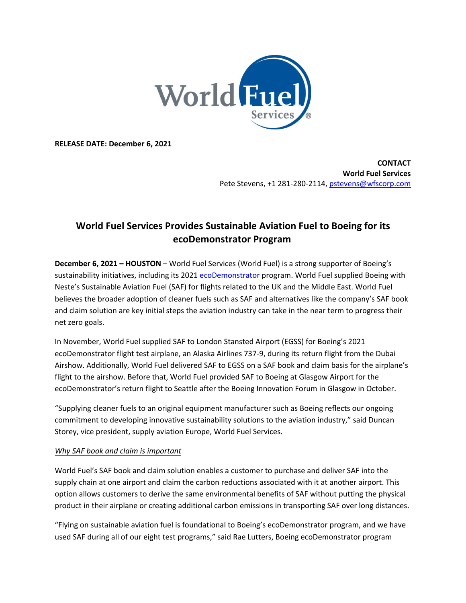

**RELEASE DATE: December 6, 2021**

**CONTACT World Fuel Services**  Pete Stevens, +1 281-280-2114, [pstevens@wfscorp.com](mailto:pstevens@wfscorp.com)

## **World Fuel Services Provides Sustainable Aviation Fuel to Boeing for its ecoDemonstrator Program**

**December 6, 2021 – HOUSTON** – World Fuel Services (World Fuel) is a strong supporter of Boeing's sustainability initiatives, including its 2021 [ecoDemonstrator](https://www.boeing.com/principles/environment/ecodemonstrator/) program. World Fuel supplied Boeing with Neste's Sustainable Aviation Fuel (SAF) for flights related to the UK and the Middle East. World Fuel believes the broader adoption of cleaner fuels such as SAF and alternatives like the company's SAF book and claim solution are key initial steps the aviation industry can take in the near term to progress their net zero goals.

In November, World Fuel supplied SAF to London Stansted Airport (EGSS) for Boeing's 2021 ecoDemonstrator flight test airplane, an Alaska Airlines 737-9, during its return flight from the Dubai Airshow. Additionally, World Fuel delivered SAF to EGSS on a SAF book and claim basis for the airplane's flight to the airshow. Before that, World Fuel provided SAF to Boeing at Glasgow Airport for the ecoDemonstrator's return flight to Seattle after the Boeing Innovation Forum in Glasgow in October.

"Supplying cleaner fuels to an original equipment manufacturer such as Boeing reflects our ongoing commitment to developing innovative sustainability solutions to the aviation industry," said Duncan Storey, vice president, supply aviation Europe, World Fuel Services.

## *Why SAF book and claim is important*

World Fuel's SAF book and claim solution enables a customer to purchase and deliver SAF into the supply chain at one airport and claim the carbon reductions associated with it at another airport. This option allows customers to derive the same environmental benefits of SAF without putting the physical product in their airplane or creating additional carbon emissions in transporting SAF over long distances.

"Flying on sustainable aviation fuel is foundational to Boeing's ecoDemonstrator program, and we have used SAF during all of our eight test programs," said Rae Lutters, Boeing ecoDemonstrator program